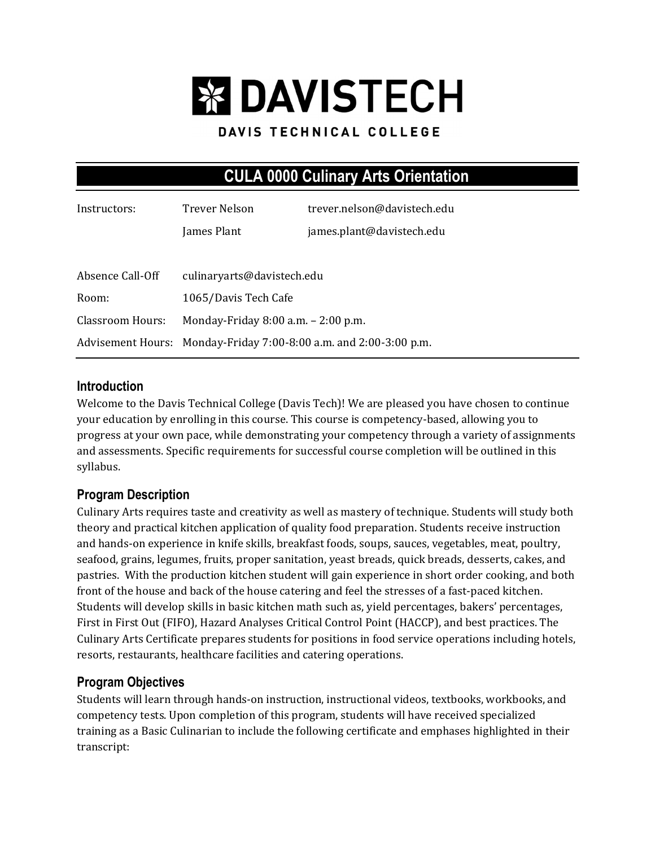# **EX DAVISTECH**

#### DAVIS TECHNICAL COLLEGE

## **CULA 0000 Culinary Arts Orientation**

| Instructors:     | Trever Nelson                                                     | trever.nelson@davistech.edu |  |
|------------------|-------------------------------------------------------------------|-----------------------------|--|
|                  | James Plant                                                       | james.plant@davistech.edu   |  |
|                  |                                                                   |                             |  |
| Absence Call-Off | culinaryarts@davistech.edu                                        |                             |  |
| Room:            | 1065/Davis Tech Cafe                                              |                             |  |
| Classroom Hours: | Monday-Friday 8:00 a.m. - 2:00 p.m.                               |                             |  |
|                  | Advisement Hours: Monday-Friday 7:00-8:00 a.m. and 2:00-3:00 p.m. |                             |  |

#### **Introduction**

Welcome to the Davis Technical College (Davis Tech)! We are pleased you have chosen to continue your education by enrolling in this course. This course is competency-based, allowing you to progress at your own pace, while demonstrating your competency through a variety of assignments and assessments. Specific requirements for successful course completion will be outlined in this syllabus.

## **Program Description**

Culinary Arts requires taste and creativity as well as mastery of technique. Students will study both theory and practical kitchen application of quality food preparation. Students receive instruction and hands-on experience in knife skills, breakfast foods, soups, sauces, vegetables, meat, poultry, seafood, grains, legumes, fruits, proper sanitation, yeast breads, quick breads, desserts, cakes, and pastries. With the production kitchen student will gain experience in short order cooking, and both front of the house and back of the house catering and feel the stresses of a fast-paced kitchen. Students will develop skills in basic kitchen math such as, yield percentages, bakers' percentages, First in First Out (FIFO), Hazard Analyses Critical Control Point (HACCP), and best practices. The Culinary Arts Certificate prepares students for positions in food service operations including hotels, resorts, restaurants, healthcare facilities and catering operations.

## **Program Objectives**

Students will learn through hands-on instruction, instructional videos, textbooks, workbooks, and competency tests. Upon completion of this program, students will have received specialized training as a Basic Culinarian to include the following certificate and emphases highlighted in their transcript: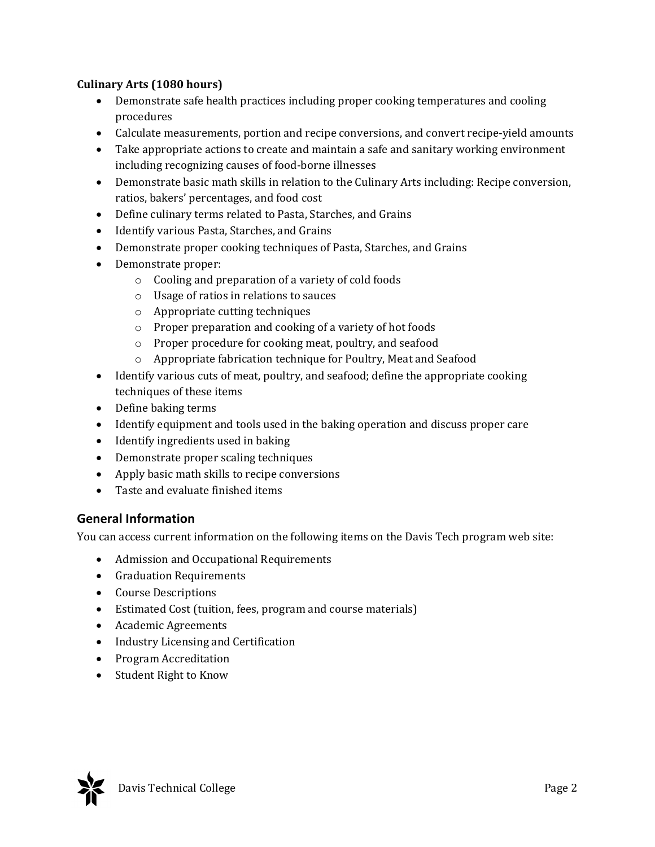#### **Culinary Arts (1080 hours)**

- Demonstrate safe health practices including proper cooking temperatures and cooling procedures
- Calculate measurements, portion and recipe conversions, and convert recipe-yield amounts
- Take appropriate actions to create and maintain a safe and sanitary working environment including recognizing causes of food-borne illnesses
- Demonstrate basic math skills in relation to the Culinary Arts including: Recipe conversion, ratios, bakers' percentages, and food cost
- Define culinary terms related to Pasta, Starches, and Grains
- Identify various Pasta, Starches, and Grains
- Demonstrate proper cooking techniques of Pasta, Starches, and Grains
- Demonstrate proper:
	- o Cooling and preparation of a variety of cold foods
	- o Usage of ratios in relations to sauces
	- o Appropriate cutting techniques
	- o Proper preparation and cooking of a variety of hot foods
	- o Proper procedure for cooking meat, poultry, and seafood
	- o Appropriate fabrication technique for Poultry, Meat and Seafood
- Identify various cuts of meat, poultry, and seafood; define the appropriate cooking techniques of these items
- Define baking terms
- Identify equipment and tools used in the baking operation and discuss proper care
- Identify ingredients used in baking
- Demonstrate proper scaling techniques
- Apply basic math skills to recipe conversions
- Taste and evaluate finished items

#### **General Information**

You can access current information on the following items on the Davis Tech program web site:

- Admission and Occupational Requirements
- Graduation Requirements
- Course Descriptions
- Estimated Cost (tuition, fees, program and course materials)
- Academic Agreements
- Industry Licensing and Certification
- Program Accreditation
- Student Right to Know

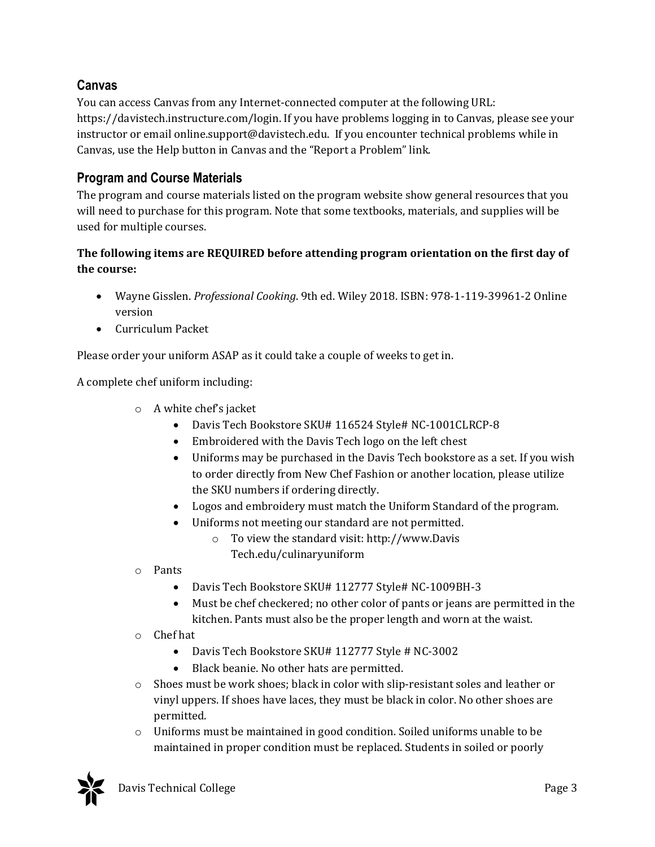## **Canvas**

You can access Canvas from any Internet-connected computer at the following URL: https://davistech.instructure.com/login. If you have problems logging in to Canvas, please see your instructor or email online.support@davistech.edu. If you encounter technical problems while in Canvas, use the Help button in Canvas and the "Report a Problem" link.

## **Program and Course Materials**

The program and course materials listed on the program website show general resources that you will need to purchase for this program. Note that some textbooks, materials, and supplies will be used for multiple courses.

#### **The following items are REQUIRED before attending program orientation on the first day of the course:**

- Wayne Gisslen. *Professional Cooking*. 9th ed. Wiley 2018. ISBN: 978-1-119-39961-2 Online version
- Curriculum Packet

Please order your uniform ASAP as it could take a couple of weeks to get in.

A complete chef uniform including:

- o A white chef's jacket
	- Davis Tech Bookstore SKU# 116524 Style# NC-1001CLRCP-8
	- Embroidered with the Davis Tech logo on the left chest
	- Uniforms may be purchased in the Davis Tech bookstore as a set. If you wish to order directly from New Chef Fashion or another location, please utilize the SKU numbers if ordering directly.
	- Logos and embroidery must match the Uniform Standard of the program.
	- Uniforms not meeting our standard are not permitted.
		- o To view the standard visit: http://www.Davis Tech.edu/culinaryuniform
- o Pants
	- Davis Tech Bookstore SKU# 112777 Style# NC-1009BH-3
	- Must be chef checkered; no other color of pants or jeans are permitted in the kitchen. Pants must also be the proper length and worn at the waist.
- o Chef hat
	- Davis Tech Bookstore SKU# 112777 Style # NC-3002
	- Black beanie. No other hats are permitted.
- $\circ$  Shoes must be work shoes; black in color with slip-resistant soles and leather or vinyl uppers. If shoes have laces, they must be black in color. No other shoes are permitted.
- o Uniforms must be maintained in good condition. Soiled uniforms unable to be maintained in proper condition must be replaced. Students in soiled or poorly

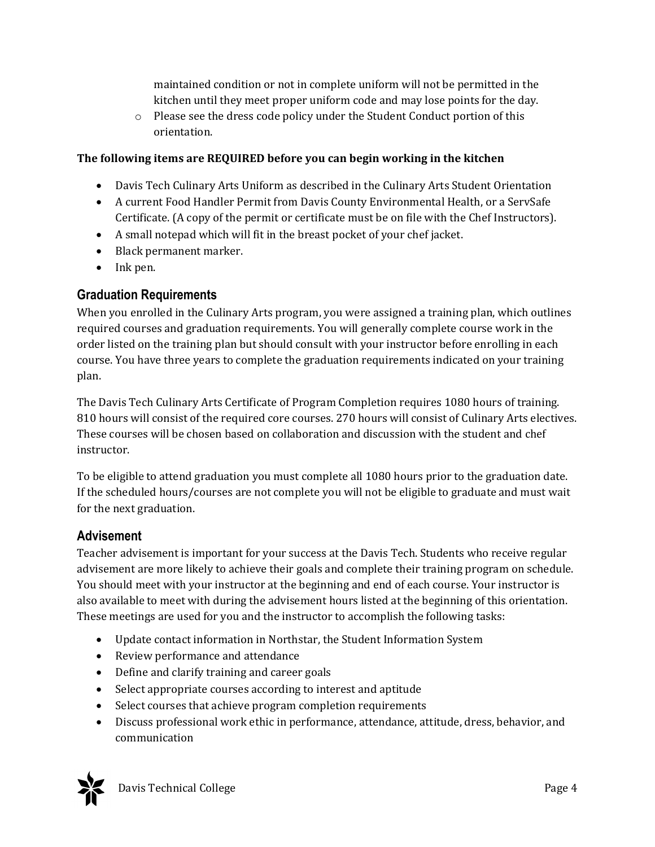maintained condition or not in complete uniform will not be permitted in the kitchen until they meet proper uniform code and may lose points for the day.

o Please see the dress code policy under the Student Conduct portion of this orientation.

#### **The following items are REQUIRED before you can begin working in the kitchen**

- Davis Tech Culinary Arts Uniform as described in the Culinary Arts Student Orientation
- A current Food Handler Permit from Davis County Environmental Health, or a ServSafe Certificate. (A copy of the permit or certificate must be on file with the Chef Instructors).
- A small notepad which will fit in the breast pocket of your chef jacket.
- Black permanent marker.
- Ink pen.

## **Graduation Requirements**

When you enrolled in the Culinary Arts program, you were assigned a training plan, which outlines required courses and graduation requirements. You will generally complete course work in the order listed on the training plan but should consult with your instructor before enrolling in each course. You have three years to complete the graduation requirements indicated on your training plan.

The Davis Tech Culinary Arts Certificate of Program Completion requires 1080 hours of training. 810 hours will consist of the required core courses. 270 hours will consist of Culinary Arts electives. These courses will be chosen based on collaboration and discussion with the student and chef instructor.

To be eligible to attend graduation you must complete all 1080 hours prior to the graduation date. If the scheduled hours/courses are not complete you will not be eligible to graduate and must wait for the next graduation.

## **Advisement**

Teacher advisement is important for your success at the Davis Tech. Students who receive regular advisement are more likely to achieve their goals and complete their training program on schedule. You should meet with your instructor at the beginning and end of each course. Your instructor is also available to meet with during the advisement hours listed at the beginning of this orientation. These meetings are used for you and the instructor to accomplish the following tasks:

- Update contact information in Northstar, the Student Information System
- Review performance and attendance
- Define and clarify training and career goals
- Select appropriate courses according to interest and aptitude
- Select courses that achieve program completion requirements
- Discuss professional work ethic in performance, attendance, attitude, dress, behavior, and communication

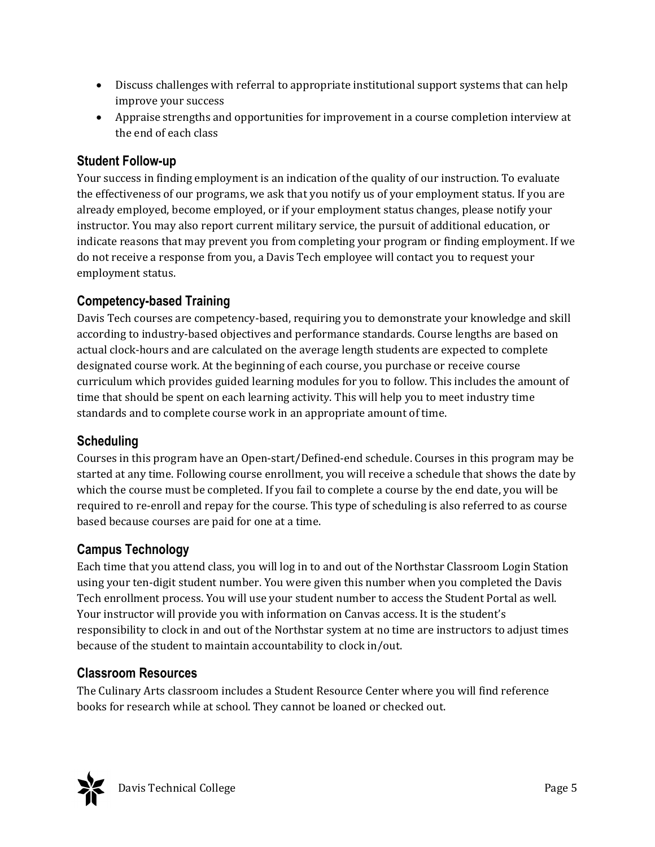- Discuss challenges with referral to appropriate institutional support systems that can help improve your success
- Appraise strengths and opportunities for improvement in a course completion interview at the end of each class

## **Student Follow-up**

Your success in finding employment is an indication of the quality of our instruction. To evaluate the effectiveness of our programs, we ask that you notify us of your employment status. If you are already employed, become employed, or if your employment status changes, please notify your instructor. You may also report current military service, the pursuit of additional education, or indicate reasons that may prevent you from completing your program or finding employment. If we do not receive a response from you, a Davis Tech employee will contact you to request your employment status.

## **Competency-based Training**

Davis Tech courses are competency-based, requiring you to demonstrate your knowledge and skill according to industry-based objectives and performance standards. Course lengths are based on actual clock-hours and are calculated on the average length students are expected to complete designated course work. At the beginning of each course, you purchase or receive course curriculum which provides guided learning modules for you to follow. This includes the amount of time that should be spent on each learning activity. This will help you to meet industry time standards and to complete course work in an appropriate amount of time.

## **Scheduling**

Courses in this program have an Open-start/Defined-end schedule. Courses in this program may be started at any time. Following course enrollment, you will receive a schedule that shows the date by which the course must be completed. If you fail to complete a course by the end date, you will be required to re-enroll and repay for the course. This type of scheduling is also referred to as course based because courses are paid for one at a time.

## **Campus Technology**

Each time that you attend class, you will log in to and out of the Northstar Classroom Login Station using your ten-digit student number. You were given this number when you completed the Davis Tech enrollment process. You will use your student number to access the Student Portal as well. Your instructor will provide you with information on Canvas access. It is the student's responsibility to clock in and out of the Northstar system at no time are instructors to adjust times because of the student to maintain accountability to clock in/out.

## **Classroom Resources**

The Culinary Arts classroom includes a Student Resource Center where you will find reference books for research while at school. They cannot be loaned or checked out.

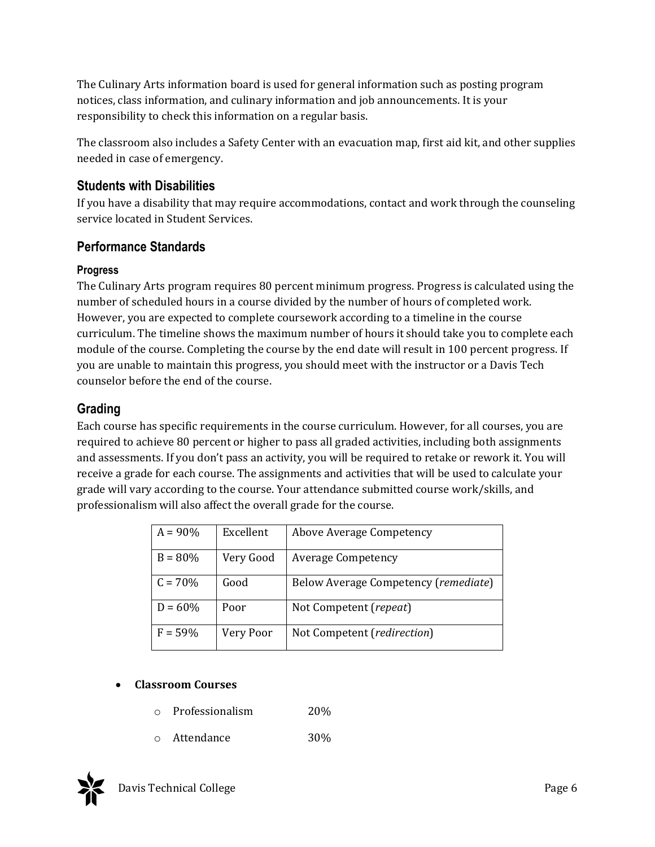The Culinary Arts information board is used for general information such as posting program notices, class information, and culinary information and job announcements. It is your responsibility to check this information on a regular basis.

The classroom also includes a Safety Center with an evacuation map, first aid kit, and other supplies needed in case of emergency.

## **Students with Disabilities**

If you have a disability that may require accommodations, contact and work through the counseling service located in Student Services.

## **Performance Standards**

#### **Progress**

The Culinary Arts program requires 80 percent minimum progress. Progress is calculated using the number of scheduled hours in a course divided by the number of hours of completed work. However, you are expected to complete coursework according to a timeline in the course curriculum. The timeline shows the maximum number of hours it should take you to complete each module of the course. Completing the course by the end date will result in 100 percent progress. If you are unable to maintain this progress, you should meet with the instructor or a Davis Tech counselor before the end of the course.

## **Grading**

Each course has specific requirements in the course curriculum. However, for all courses, you are required to achieve 80 percent or higher to pass all graded activities, including both assignments and assessments. If you don't pass an activity, you will be required to retake or rework it. You will receive a grade for each course. The assignments and activities that will be used to calculate your grade will vary according to the course. Your attendance submitted course work/skills, and professionalism will also affect the overall grade for the course.

| $A = 90\%$ | Excellent | Above Average Competency             |
|------------|-----------|--------------------------------------|
| $B = 80%$  | Very Good | <b>Average Competency</b>            |
| $C = 70\%$ | Good      | Below Average Competency (remediate) |
| $D = 60\%$ | Poor      | Not Competent (repeat)               |
| $F = 59%$  | Very Poor | Not Competent (redirection)          |

## **Classroom Courses**

- o Professionalism 20%
- o Attendance 30%

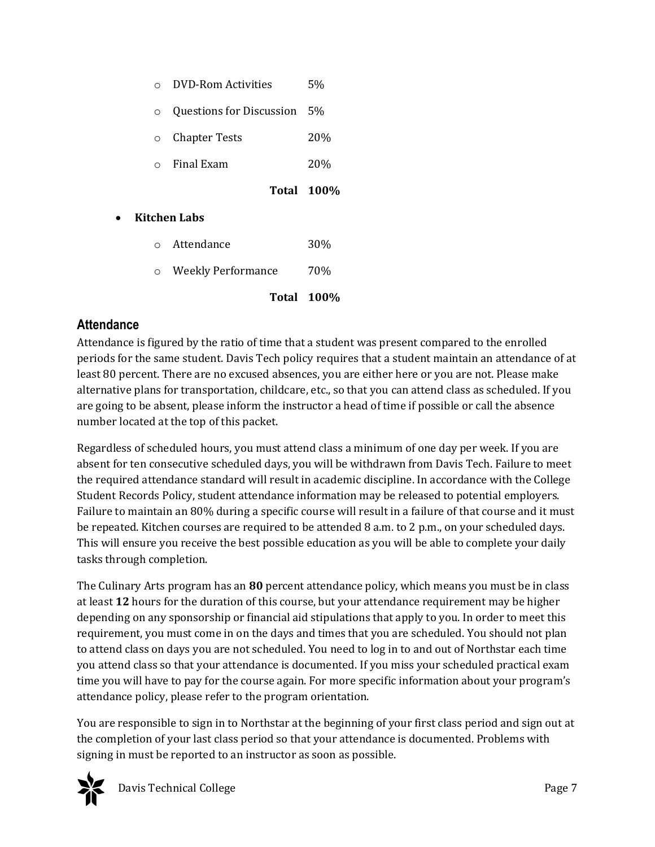| $\Omega$ | DVD-Rom Activities | 5% |
|----------|--------------------|----|
|          |                    |    |

o Questions for Discussion 5%

o Chapter Tests 20%

o Final Exam 20%

**Total 100%**

- **Kitchen Labs**
	- o Attendance 30%
	- o Weekly Performance 70%

**Total 100%**

#### **Attendance**

Attendance is figured by the ratio of time that a student was present compared to the enrolled periods for the same student. Davis Tech policy requires that a student maintain an attendance of at least 80 percent. There are no excused absences, you are either here or you are not. Please make alternative plans for transportation, childcare, etc., so that you can attend class as scheduled. If you are going to be absent, please inform the instructor a head of time if possible or call the absence number located at the top of this packet.

Regardless of scheduled hours, you must attend class a minimum of one day per week. If you are absent for ten consecutive scheduled days, you will be withdrawn from Davis Tech. Failure to meet the required attendance standard will result in academic discipline. In accordance with the College Student Records Policy, student attendance information may be released to potential employers. Failure to maintain an 80% during a specific course will result in a failure of that course and it must be repeated. Kitchen courses are required to be attended 8 a.m. to 2 p.m., on your scheduled days. This will ensure you receive the best possible education as you will be able to complete your daily tasks through completion.

The Culinary Arts program has an **80** percent attendance policy, which means you must be in class at least **12** hours for the duration of this course, but your attendance requirement may be higher depending on any sponsorship or financial aid stipulations that apply to you. In order to meet this requirement, you must come in on the days and times that you are scheduled. You should not plan to attend class on days you are not scheduled. You need to log in to and out of Northstar each time you attend class so that your attendance is documented. If you miss your scheduled practical exam time you will have to pay for the course again. For more specific information about your program's attendance policy, please refer to the program orientation.

You are responsible to sign in to Northstar at the beginning of your first class period and sign out at the completion of your last class period so that your attendance is documented. Problems with signing in must be reported to an instructor as soon as possible.



Davis Technical College Page 7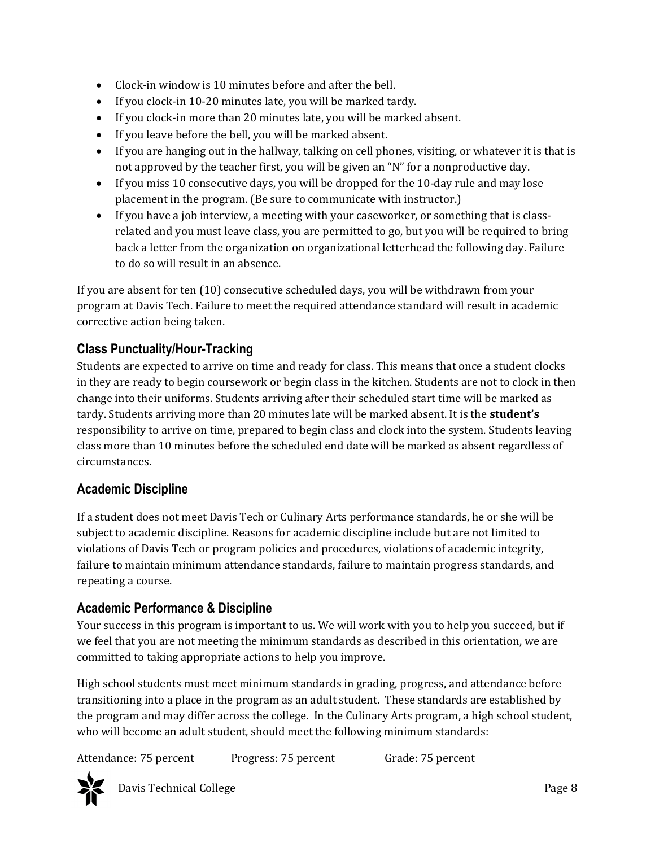- Clock-in window is 10 minutes before and after the bell.
- If you clock-in 10-20 minutes late, you will be marked tardy.
- If you clock-in more than 20 minutes late, you will be marked absent.
- If you leave before the bell, you will be marked absent.
- If you are hanging out in the hallway, talking on cell phones, visiting, or whatever it is that is not approved by the teacher first, you will be given an "N" for a nonproductive day.
- If you miss 10 consecutive days, you will be dropped for the 10-day rule and may lose placement in the program. (Be sure to communicate with instructor.)
- If you have a job interview, a meeting with your caseworker, or something that is classrelated and you must leave class, you are permitted to go, but you will be required to bring back a letter from the organization on organizational letterhead the following day. Failure to do so will result in an absence.

If you are absent for ten (10) consecutive scheduled days, you will be withdrawn from your program at Davis Tech. Failure to meet the required attendance standard will result in academic corrective action being taken.

## **Class Punctuality/Hour-Tracking**

Students are expected to arrive on time and ready for class. This means that once a student clocks in they are ready to begin coursework or begin class in the kitchen. Students are not to clock in then change into their uniforms. Students arriving after their scheduled start time will be marked as tardy. Students arriving more than 20 minutes late will be marked absent. It is the **student's** responsibility to arrive on time, prepared to begin class and clock into the system. Students leaving class more than 10 minutes before the scheduled end date will be marked as absent regardless of circumstances.

## **Academic Discipline**

If a student does not meet Davis Tech or Culinary Arts performance standards, he or she will be subject to academic discipline. Reasons for academic discipline include but are not limited to violations of Davis Tech or program policies and procedures, violations of academic integrity, failure to maintain minimum attendance standards, failure to maintain progress standards, and repeating a course.

## **Academic Performance & Discipline**

Your success in this program is important to us. We will work with you to help you succeed, but if we feel that you are not meeting the minimum standards as described in this orientation, we are committed to taking appropriate actions to help you improve.

High school students must meet minimum standards in grading, progress, and attendance before transitioning into a place in the program as an adult student. These standards are established by the program and may differ across the college. In the Culinary Arts program, a high school student, who will become an adult student, should meet the following minimum standards:

Attendance: 75 percent Progress: 75 percent Grade: 75 percent



Davis Technical College Page 8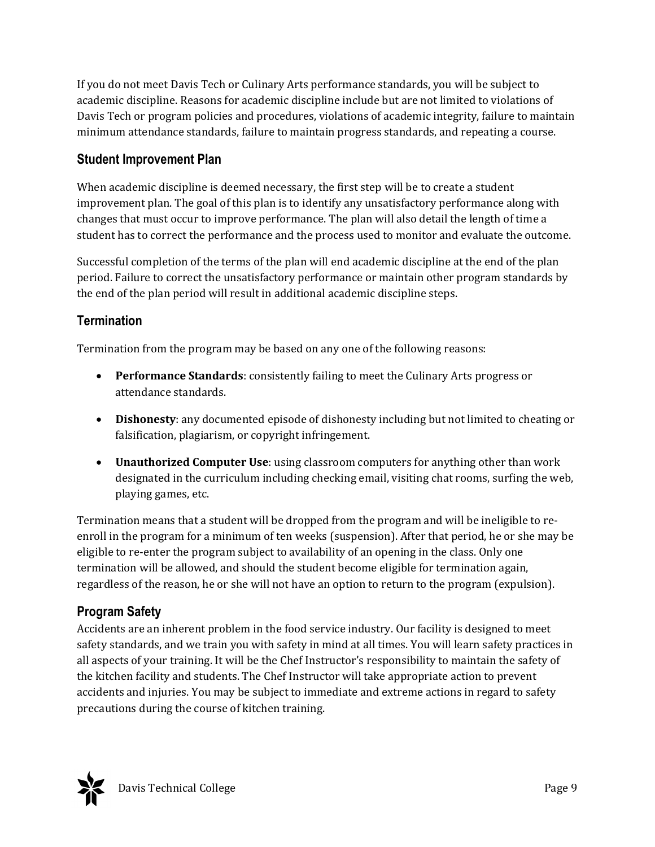If you do not meet Davis Tech or Culinary Arts performance standards, you will be subject to academic discipline. Reasons for academic discipline include but are not limited to violations of Davis Tech or program policies and procedures, violations of academic integrity, failure to maintain minimum attendance standards, failure to maintain progress standards, and repeating a course.

#### **Student Improvement Plan**

When academic discipline is deemed necessary, the first step will be to create a student improvement plan. The goal of this plan is to identify any unsatisfactory performance along with changes that must occur to improve performance. The plan will also detail the length of time a student has to correct the performance and the process used to monitor and evaluate the outcome.

Successful completion of the terms of the plan will end academic discipline at the end of the plan period. Failure to correct the unsatisfactory performance or maintain other program standards by the end of the plan period will result in additional academic discipline steps.

#### **Termination**

Termination from the program may be based on any one of the following reasons:

- **Performance Standards**: consistently failing to meet the Culinary Arts progress or attendance standards.
- **Dishonesty**: any documented episode of dishonesty including but not limited to cheating or falsification, plagiarism, or copyright infringement.
- **Unauthorized Computer Use**: using classroom computers for anything other than work designated in the curriculum including checking email, visiting chat rooms, surfing the web, playing games, etc.

Termination means that a student will be dropped from the program and will be ineligible to reenroll in the program for a minimum of ten weeks (suspension). After that period, he or she may be eligible to re-enter the program subject to availability of an opening in the class. Only one termination will be allowed, and should the student become eligible for termination again, regardless of the reason, he or she will not have an option to return to the program (expulsion).

## **Program Safety**

Accidents are an inherent problem in the food service industry. Our facility is designed to meet safety standards, and we train you with safety in mind at all times. You will learn safety practices in all aspects of your training. It will be the Chef Instructor's responsibility to maintain the safety of the kitchen facility and students. The Chef Instructor will take appropriate action to prevent accidents and injuries. You may be subject to immediate and extreme actions in regard to safety precautions during the course of kitchen training.

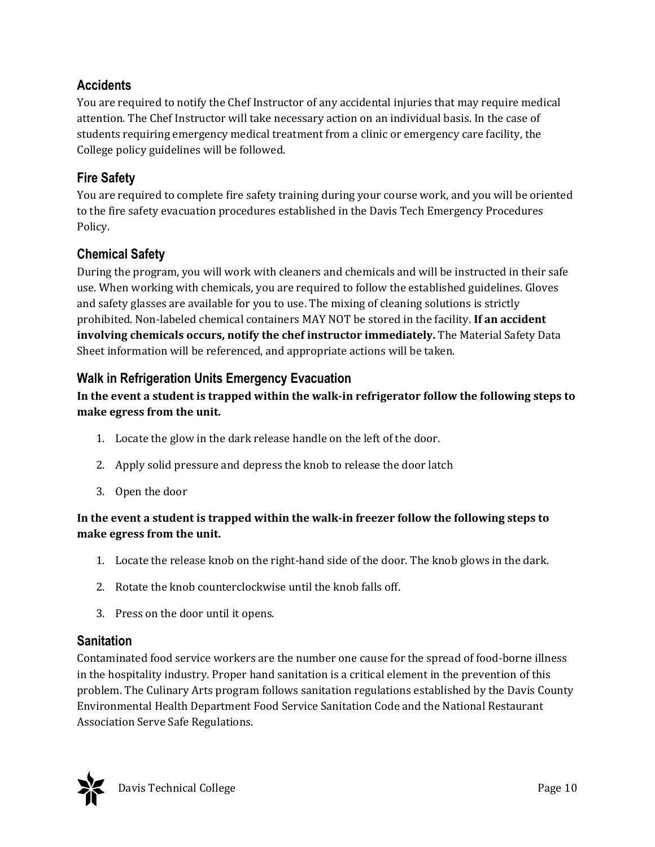## **Accidents**

You are required to notify the Chef Instructor of any accidental injuries that may require medical attention. The Chef Instructor will take necessary action on an individual basis. In the case of students requiring emergency medical treatment from a clinic or emergency care facility, the College policy guidelines will be followed.

## **Fire Safety**

You are required to complete fire safety training during your course work, and you will be oriented to the fire safety evacuation procedures established in the Davis Tech Emergency Procedures Policy.

## **Chemical Safety**

During the program, you will work with cleaners and chemicals and will be instructed in their safe use. When working with chemicals, you are required to follow the established guidelines. Gloves and safety glasses are available for you to use. The mixing of cleaning solutions is strictly prohibited. Non-labeled chemical containers MAY NOT be stored in the facility. **If an accident involving chemicals occurs, notify the chef instructor immediately.** The Material Safety Data Sheet information will be referenced, and appropriate actions will be taken.

## **Walk in Refrigeration Units Emergency Evacuation**

#### **In the event a student is trapped within the walk‐in refrigerator follow the following steps to make egress from the unit.**

- 1. Locate the glow in the dark release handle on the left of the door.
- 2. Apply solid pressure and depress the knob to release the door latch
- 3. Open the door

#### **In the event a student is trapped within the walk‐in freezer follow the following steps to make egress from the unit.**

- 1. Locate the release knob on the right-hand side of the door. The knob glows in the dark.
- 2. Rotate the knob counterclockwise until the knob falls off.
- 3. Press on the door until it opens.

## **Sanitation**

Contaminated food service workers are the number one cause for the spread of food-borne illness in the hospitality industry. Proper hand sanitation is a critical element in the prevention of this problem. The Culinary Arts program follows sanitation regulations established by the Davis County Environmental Health Department Food Service Sanitation Code and the National Restaurant Association Serve Safe Regulations.

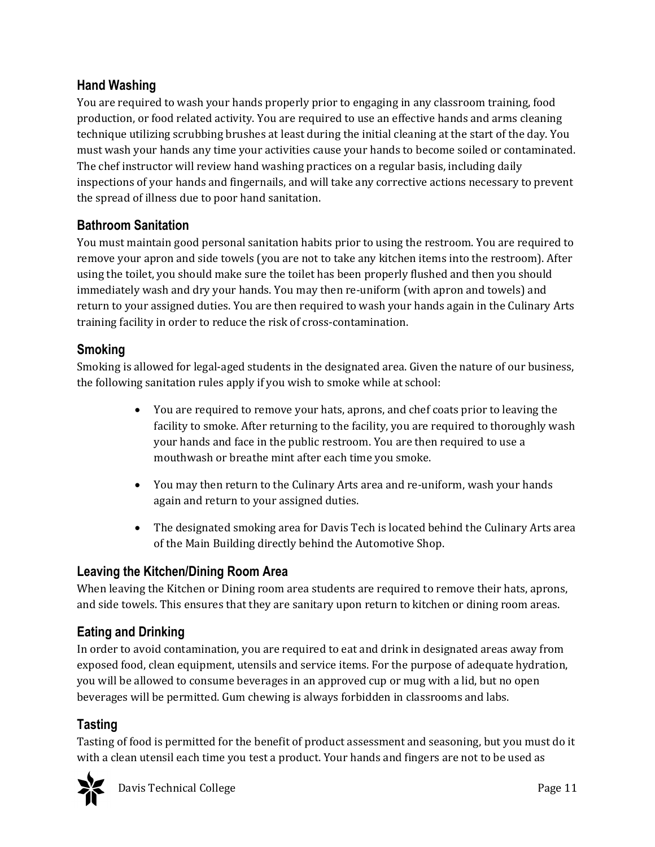## **Hand Washing**

You are required to wash your hands properly prior to engaging in any classroom training, food production, or food related activity. You are required to use an effective hands and arms cleaning technique utilizing scrubbing brushes at least during the initial cleaning at the start of the day. You must wash your hands any time your activities cause your hands to become soiled or contaminated. The chef instructor will review hand washing practices on a regular basis, including daily inspections of your hands and fingernails, and will take any corrective actions necessary to prevent the spread of illness due to poor hand sanitation.

## **Bathroom Sanitation**

You must maintain good personal sanitation habits prior to using the restroom. You are required to remove your apron and side towels (you are not to take any kitchen items into the restroom). After using the toilet, you should make sure the toilet has been properly flushed and then you should immediately wash and dry your hands. You may then re-uniform (with apron and towels) and return to your assigned duties. You are then required to wash your hands again in the Culinary Arts training facility in order to reduce the risk of cross-contamination.

## **Smoking**

Smoking is allowed for legal-aged students in the designated area. Given the nature of our business, the following sanitation rules apply if you wish to smoke while at school:

- You are required to remove your hats, aprons, and chef coats prior to leaving the facility to smoke. After returning to the facility, you are required to thoroughly wash your hands and face in the public restroom. You are then required to use a mouthwash or breathe mint after each time you smoke.
- You may then return to the Culinary Arts area and re-uniform, wash your hands again and return to your assigned duties.
- The designated smoking area for Davis Tech is located behind the Culinary Arts area of the Main Building directly behind the Automotive Shop.

## **Leaving the Kitchen/Dining Room Area**

When leaving the Kitchen or Dining room area students are required to remove their hats, aprons, and side towels. This ensures that they are sanitary upon return to kitchen or dining room areas.

## **Eating and Drinking**

In order to avoid contamination, you are required to eat and drink in designated areas away from exposed food, clean equipment, utensils and service items. For the purpose of adequate hydration, you will be allowed to consume beverages in an approved cup or mug with a lid, but no open beverages will be permitted. Gum chewing is always forbidden in classrooms and labs.

## **Tasting**

Tasting of food is permitted for the benefit of product assessment and seasoning, but you must do it with a clean utensil each time you test a product. Your hands and fingers are not to be used as

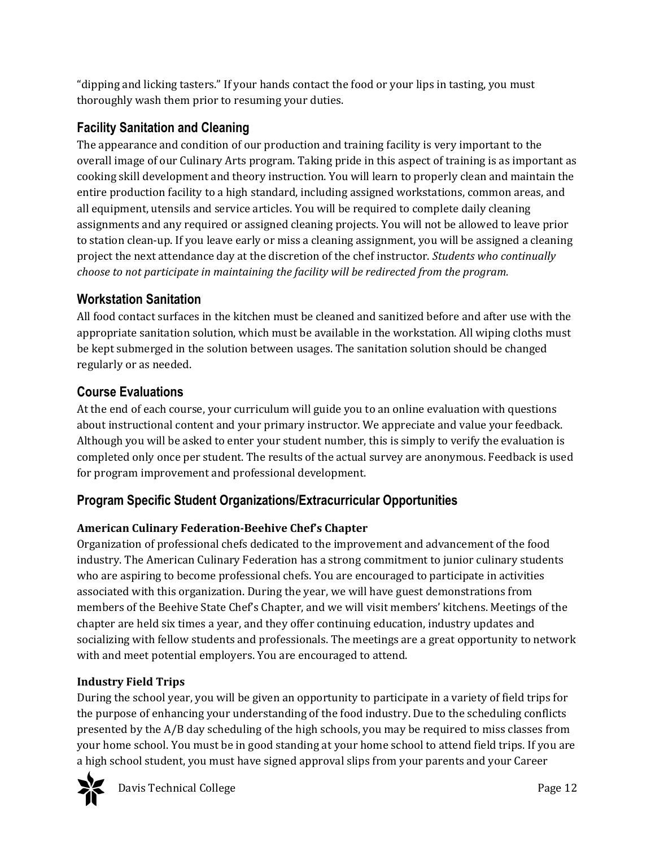"dipping and licking tasters." If your hands contact the food or your lips in tasting, you must thoroughly wash them prior to resuming your duties.

## **Facility Sanitation and Cleaning**

The appearance and condition of our production and training facility is very important to the overall image of our Culinary Arts program. Taking pride in this aspect of training is as important as cooking skill development and theory instruction. You will learn to properly clean and maintain the entire production facility to a high standard, including assigned workstations, common areas, and all equipment, utensils and service articles. You will be required to complete daily cleaning assignments and any required or assigned cleaning projects. You will not be allowed to leave prior to station clean-up. If you leave early or miss a cleaning assignment, you will be assigned a cleaning project the next attendance day at the discretion of the chef instructor. *Students who continually choose to not participate in maintaining the facility will be redirected from the program.*

## **Workstation Sanitation**

All food contact surfaces in the kitchen must be cleaned and sanitized before and after use with the appropriate sanitation solution, which must be available in the workstation. All wiping cloths must be kept submerged in the solution between usages. The sanitation solution should be changed regularly or as needed.

## **Course Evaluations**

At the end of each course, your curriculum will guide you to an online evaluation with questions about instructional content and your primary instructor. We appreciate and value your feedback. Although you will be asked to enter your student number, this is simply to verify the evaluation is completed only once per student. The results of the actual survey are anonymous. Feedback is used for program improvement and professional development.

## **Program Specific Student Organizations/Extracurricular Opportunities**

## **American Culinary Federation‐Beehive Chef's Chapter**

Organization of professional chefs dedicated to the improvement and advancement of the food industry. The American Culinary Federation has a strong commitment to junior culinary students who are aspiring to become professional chefs. You are encouraged to participate in activities associated with this organization. During the year, we will have guest demonstrations from members of the Beehive State Chef's Chapter, and we will visit members' kitchens. Meetings of the chapter are held six times a year, and they offer continuing education, industry updates and socializing with fellow students and professionals. The meetings are a great opportunity to network with and meet potential employers. You are encouraged to attend.

## **Industry Field Trips**

During the school year, you will be given an opportunity to participate in a variety of field trips for the purpose of enhancing your understanding of the food industry. Due to the scheduling conflicts presented by the A/B day scheduling of the high schools, you may be required to miss classes from your home school. You must be in good standing at your home school to attend field trips. If you are a high school student, you must have signed approval slips from your parents and your Career



Davis Technical College **Page 12**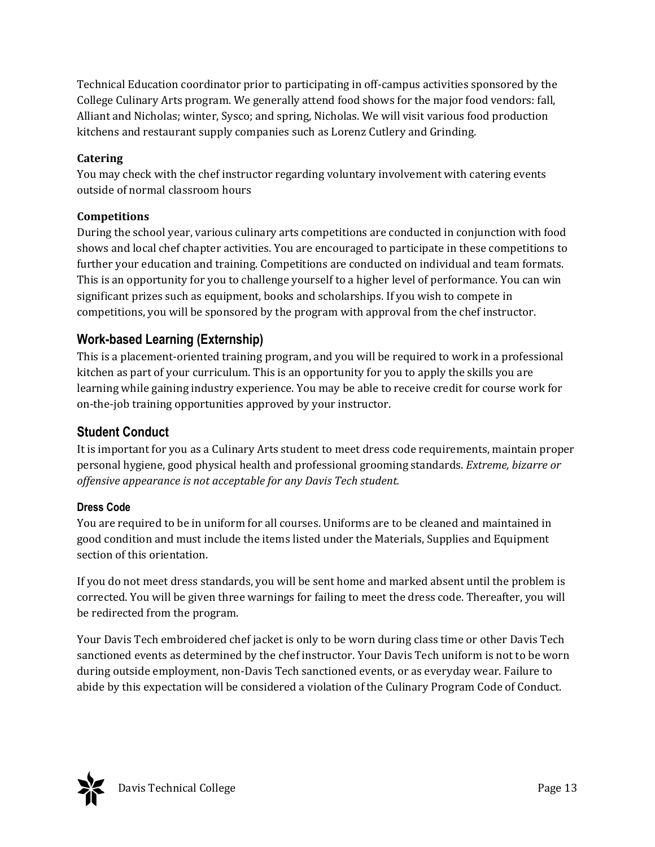Technical Education coordinator prior to participating in off-campus activities sponsored by the College Culinary Arts program. We generally attend food shows for the major food vendors: fall, Alliant and Nicholas; winter, Sysco; and spring, Nicholas. We will visit various food production kitchens and restaurant supply companies such as Lorenz Cutlery and Grinding.

#### **Catering**

You may check with the chef instructor regarding voluntary involvement with catering events outside of normal classroom hours

#### **Competitions**

During the school year, various culinary arts competitions are conducted in conjunction with food shows and local chef chapter activities. You are encouraged to participate in these competitions to further your education and training. Competitions are conducted on individual and team formats. This is an opportunity for you to challenge yourself to a higher level of performance. You can win significant prizes such as equipment, books and scholarships. If you wish to compete in competitions, you will be sponsored by the program with approval from the chef instructor.

## **Work-based Learning (Externship)**

This is a placement-oriented training program, and you will be required to work in a professional kitchen as part of your curriculum. This is an opportunity for you to apply the skills you are learning while gaining industry experience. You may be able to receive credit for course work for on-the-job training opportunities approved by your instructor.

#### **Student Conduct**

It is important for you as a Culinary Arts student to meet dress code requirements, maintain proper personal hygiene, good physical health and professional grooming standards. *Extreme, bizarre or offensive appearance is not acceptable for any Davis Tech student.*

#### **Dress Code**

You are required to be in uniform for all courses. Uniforms are to be cleaned and maintained in good condition and must include the items listed under the Materials, Supplies and Equipment section of this orientation.

If you do not meet dress standards, you will be sent home and marked absent until the problem is corrected. You will be given three warnings for failing to meet the dress code. Thereafter, you will be redirected from the program.

Your Davis Tech embroidered chef jacket is only to be worn during class time or other Davis Tech sanctioned events as determined by the chef instructor. Your Davis Tech uniform is not to be worn during outside employment, non-Davis Tech sanctioned events, or as everyday wear. Failure to abide by this expectation will be considered a violation of the Culinary Program Code of Conduct.

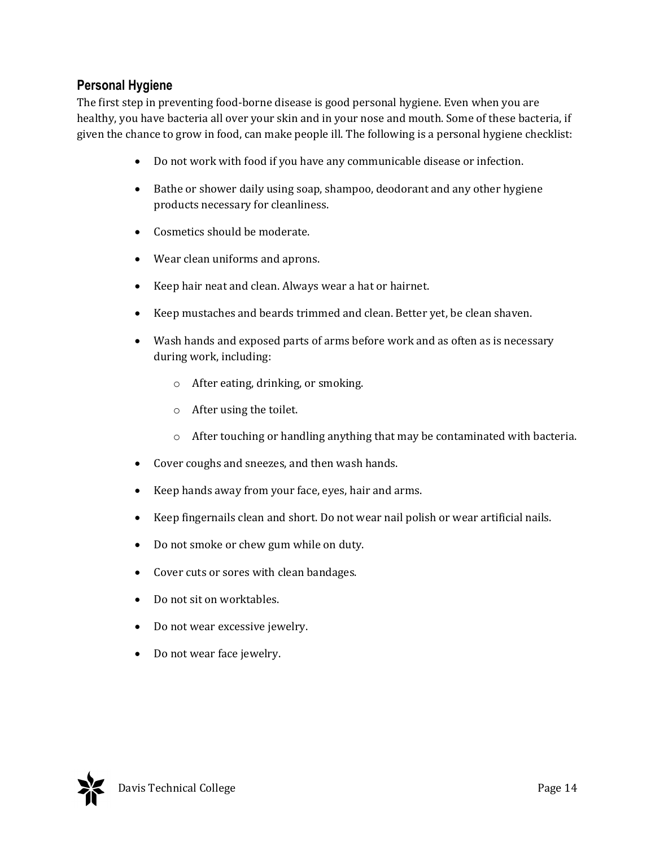## **Personal Hygiene**

The first step in preventing food-borne disease is good personal hygiene. Even when you are healthy, you have bacteria all over your skin and in your nose and mouth. Some of these bacteria, if given the chance to grow in food, can make people ill. The following is a personal hygiene checklist:

- Do not work with food if you have any communicable disease or infection.
- Bathe or shower daily using soap, shampoo, deodorant and any other hygiene products necessary for cleanliness.
- Cosmetics should be moderate.
- Wear clean uniforms and aprons.
- Keep hair neat and clean. Always wear a hat or hairnet.
- Keep mustaches and beards trimmed and clean. Better yet, be clean shaven.
- Wash hands and exposed parts of arms before work and as often as is necessary during work, including:
	- o After eating, drinking, or smoking.
	- o After using the toilet.
	- $\circ$  After touching or handling anything that may be contaminated with bacteria.
- Cover coughs and sneezes, and then wash hands.
- Keep hands away from your face, eyes, hair and arms.
- Keep fingernails clean and short. Do not wear nail polish or wear artificial nails.
- Do not smoke or chew gum while on duty.
- Cover cuts or sores with clean bandages.
- Do not sit on worktables.
- Do not wear excessive jewelry.
- Do not wear face jewelry.

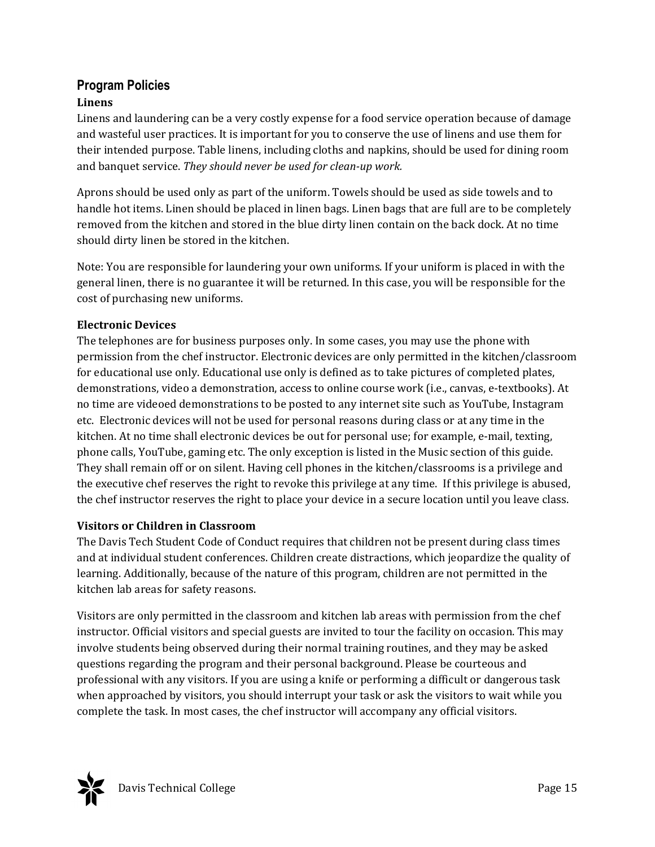## **Program Policies**

#### **Linens**

Linens and laundering can be a very costly expense for a food service operation because of damage and wasteful user practices. It is important for you to conserve the use of linens and use them for their intended purpose. Table linens, including cloths and napkins, should be used for dining room and banquet service. *They should never be used for clean‐up work.*

Aprons should be used only as part of the uniform. Towels should be used as side towels and to handle hot items. Linen should be placed in linen bags. Linen bags that are full are to be completely removed from the kitchen and stored in the blue dirty linen contain on the back dock. At no time should dirty linen be stored in the kitchen.

Note: You are responsible for laundering your own uniforms. If your uniform is placed in with the general linen, there is no guarantee it will be returned. In this case, you will be responsible for the cost of purchasing new uniforms.

#### **Electronic Devices**

The telephones are for business purposes only. In some cases, you may use the phone with permission from the chef instructor. Electronic devices are only permitted in the kitchen/classroom for educational use only. Educational use only is defined as to take pictures of completed plates, demonstrations, video a demonstration, access to online course work (i.e., canvas, e-textbooks). At no time are videoed demonstrations to be posted to any internet site such as YouTube, Instagram etc. Electronic devices will not be used for personal reasons during class or at any time in the kitchen. At no time shall electronic devices be out for personal use; for example, e-mail, texting, phone calls, YouTube, gaming etc. The only exception is listed in the Music section of this guide. They shall remain off or on silent. Having cell phones in the kitchen/classrooms is a privilege and the executive chef reserves the right to revoke this privilege at any time. If this privilege is abused, the chef instructor reserves the right to place your device in a secure location until you leave class.

#### **Visitors or Children in Classroom**

The Davis Tech Student Code of Conduct requires that children not be present during class times and at individual student conferences. Children create distractions, which jeopardize the quality of learning. Additionally, because of the nature of this program, children are not permitted in the kitchen lab areas for safety reasons.

Visitors are only permitted in the classroom and kitchen lab areas with permission from the chef instructor. Official visitors and special guests are invited to tour the facility on occasion. This may involve students being observed during their normal training routines, and they may be asked questions regarding the program and their personal background. Please be courteous and professional with any visitors. If you are using a knife or performing a difficult or dangerous task when approached by visitors, you should interrupt your task or ask the visitors to wait while you complete the task. In most cases, the chef instructor will accompany any official visitors.